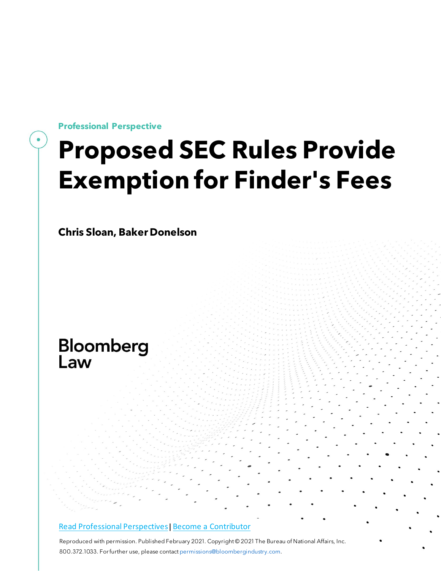**Professional Perspective**

# **Proposed SEC Rules Provide Exemption for Finder's Fees**

**Chris Sloan, Baker Donelson**

## Bloomberg Law

#### [Read Professional Perspectives](https://www.bloomberglaw.com/product/blaw/search/results/fce5c55b80fd6db95984633eb48fa7d5?utm_source=ACQ&utm_medium=PRP)| [Become a Contributor](https://pro.bloomberglaw.com/become-a-contributor/?utm_source=ACQ&utm_medium=PRP)

 [Reproduced with permission.](https://pro.bloomberglaw.com/become-a-contributor/?utm_source=ACQ&utm_medium=PRP) Published February 2021. Copyright © 2021 The Bureau of National Affairs, Inc. 800.372.1033. For further use, please contact [permissions@bloombergindustry.com.](mailto:permissions@bloombergindustry.com)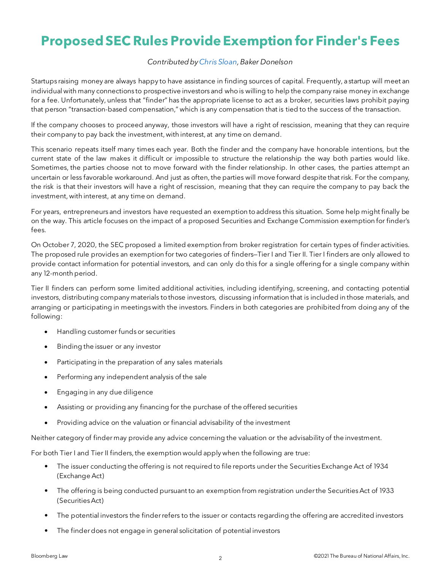### **Proposed SEC Rules Provide Exemption for Finder's Fees**

#### *Contributed b[yChris Sloan,](https://www.bakerdonelson.com/chris-sloan) Baker Donelson*

Startups raising money are always happy to have assistance in finding sources of capital. Frequently, a startup will meet an individual with many connections to prospective investors and who is willing to help the company raise money in exchange for a fee. Unfortunately, unless that "finder" has the appropriate license to act as a broker, securities laws prohibit paying that person "transaction-based compensation," which is any compensation that is tied to the success of the transaction.

If the company chooses to proceed anyway, those investors will have a right of rescission, meaning that they can require their company to pay back the investment, with interest, at any time on demand.

This scenario repeats itself many times each year. Both the finder and the company have honorable intentions, but the current state of the law makes it difficult or impossible to structure the relationship the way both parties would like. Sometimes, the parties choose not to move forward with the finder relationship. In other cases, the parties attempt an uncertain or less favorable workaround. And just as often, the parties will move forward despite that risk. For the company, the risk is that their investors will have a right of rescission, meaning that they can require the company to pay back the investment, with interest, at any time on demand.

For years, entrepreneurs and investors have requested an exemption to address this situation. Some help might finally be on the way. This article focuses on the impact of a proposed Securities and Exchange Commission exemption for finder's fees.

On October 7, 2020, the SEC proposed a limited exemption from broker registration for certain types of finder activities. The proposed rule provides an exemption for two categories of finders—Tier I and Tier II. Tier I finders are only allowed to provide contact information for potential investors, and can only do this for a single offering for a single company within any 12-month period.

Tier II finders can perform some limited additional activities, including identifying, screening, and contacting potential investors, distributing company materials to those investors, discussing information that is included in those materials, and arranging or participating in meetings with the investors. Finders in both categories are prohibited from doing any of the following:

- Handling customer funds or securities
- Binding the issuer or any investor
- Participating in the preparation of any sales materials
- Performing any independent analysis of the sale
- Engaging in any due diligence
- Assisting or providing any financing for the purchase of the offered securities
- Providing advice on the valuation or financial advisability of the investment

Neither category of finder may provide any advice concerning the valuation or the advisability of the investment.

For both Tier I and Tier II finders, the exemption would apply when the following are true:

- The issuer conducting the offering is not required to file reports under the Securities Exchange Act of 1934 (Exchange Act)
- The offering is being conducted pursuant to an exemption from registration under the Securities Act of 1933 (Securities Act)
- The potential investors the finder refers to the issuer or contacts regarding the offering are accredited investors
- The finder does not engage in general solicitation of potential investors